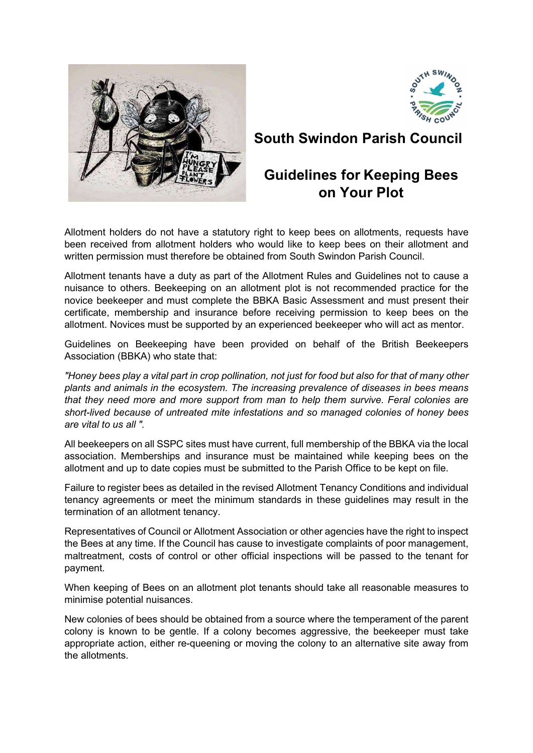



South Swindon Parish Council

# Guidelines for Keeping Bees on Your Plot

Allotment holders do not have a statutory right to keep bees on allotments, requests have been received from allotment holders who would like to keep bees on their allotment and written permission must therefore be obtained from South Swindon Parish Council.

Allotment tenants have a duty as part of the Allotment Rules and Guidelines not to cause a nuisance to others. Beekeeping on an allotment plot is not recommended practice for the novice beekeeper and must complete the BBKA Basic Assessment and must present their certificate, membership and insurance before receiving permission to keep bees on the allotment. Novices must be supported by an experienced beekeeper who will act as mentor.

Guidelines on Beekeeping have been provided on behalf of the British Beekeepers Association (BBKA) who state that:

"Honey bees play a vital part in crop pollination, not just for food but also for that of many other plants and animals in the ecosystem. The increasing prevalence of diseases in bees means that they need more and more support from man to help them survive. Feral colonies are short-lived because of untreated mite infestations and so managed colonies of honey bees are vital to us all ".

All beekeepers on all SSPC sites must have current, full membership of the BBKA via the local association. Memberships and insurance must be maintained while keeping bees on the allotment and up to date copies must be submitted to the Parish Office to be kept on file.

Failure to register bees as detailed in the revised Allotment Tenancy Conditions and individual tenancy agreements or meet the minimum standards in these guidelines may result in the termination of an allotment tenancy.

Representatives of Council or Allotment Association or other agencies have the right to inspect the Bees at any time. If the Council has cause to investigate complaints of poor management, maltreatment, costs of control or other official inspections will be passed to the tenant for payment.

When keeping of Bees on an allotment plot tenants should take all reasonable measures to minimise potential nuisances.

New colonies of bees should be obtained from a source where the temperament of the parent colony is known to be gentle. If a colony becomes aggressive, the beekeeper must take appropriate action, either re-queening or moving the colony to an alternative site away from the allotments.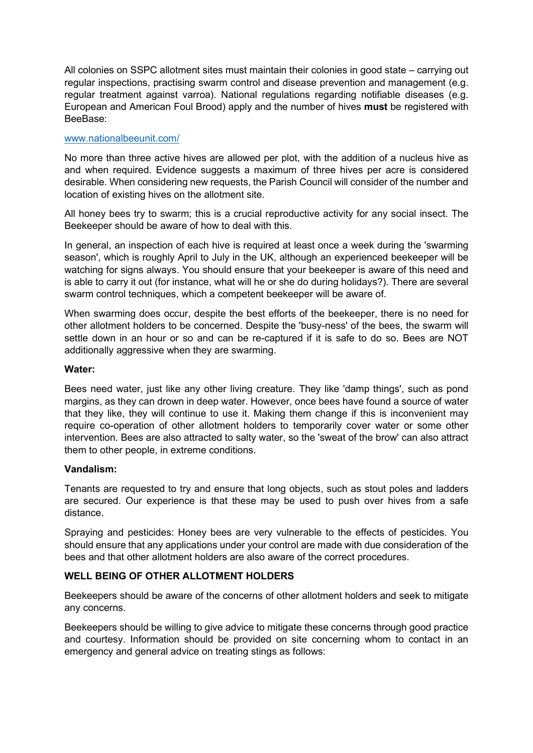All colonies on SSPC allotment sites must maintain their colonies in good state – carrying out regular inspections, practising swarm control and disease prevention and management (e.g. regular treatment against varroa). National regulations regarding notifiable diseases (e.g. European and American Foul Brood) apply and the number of hives must be registered with BeeBase:

# www.nationalbeeunit.com/

No more than three active hives are allowed per plot, with the addition of a nucleus hive as and when required. Evidence suggests a maximum of three hives per acre is considered desirable. When considering new requests, the Parish Council will consider of the number and location of existing hives on the allotment site.

All honey bees try to swarm; this is a crucial reproductive activity for any social insect. The Beekeeper should be aware of how to deal with this.

In general, an inspection of each hive is required at least once a week during the 'swarming season', which is roughly April to July in the UK, although an experienced beekeeper will be watching for signs always. You should ensure that your beekeeper is aware of this need and is able to carry it out (for instance, what will he or she do during holidays?). There are several swarm control techniques, which a competent beekeeper will be aware of.

When swarming does occur, despite the best efforts of the beekeeper, there is no need for other allotment holders to be concerned. Despite the 'busy-ness' of the bees, the swarm will settle down in an hour or so and can be re-captured if it is safe to do so. Bees are NOT additionally aggressive when they are swarming.

#### Water:

Bees need water, just like any other living creature. They like 'damp things', such as pond margins, as they can drown in deep water. However, once bees have found a source of water that they like, they will continue to use it. Making them change if this is inconvenient may require co-operation of other allotment holders to temporarily cover water or some other intervention. Bees are also attracted to salty water, so the 'sweat of the brow' can also attract them to other people, in extreme conditions.

#### Vandalism:

Tenants are requested to try and ensure that long objects, such as stout poles and ladders are secured. Our experience is that these may be used to push over hives from a safe distance.

Spraying and pesticides: Honey bees are very vulnerable to the effects of pesticides. You should ensure that any applications under your control are made with due consideration of the bees and that other allotment holders are also aware of the correct procedures.

# WELL BEING OF OTHER ALLOTMENT HOLDERS

Beekeepers should be aware of the concerns of other allotment holders and seek to mitigate any concerns.

Beekeepers should be willing to give advice to mitigate these concerns through good practice and courtesy. Information should be provided on site concerning whom to contact in an emergency and general advice on treating stings as follows: